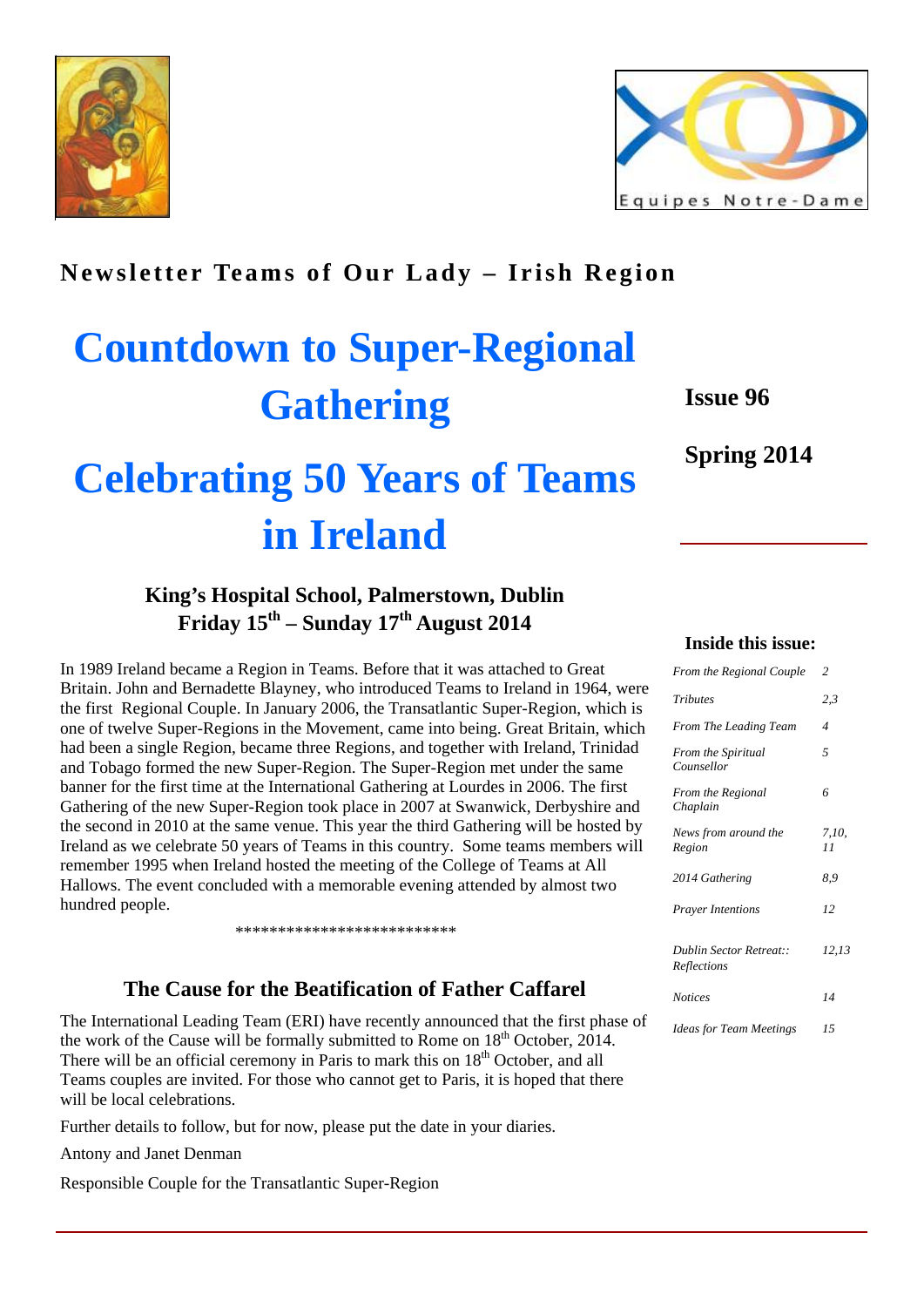



# **Newsletter Teams of Our Lady – Irish Region**

# **Countdown to Super-Regional Gathering**

# **Issue 96**

**Spring 2014** 

# **Celebrating 50 Years of Teams in Ireland**

# **King's Hospital School, Palmerstown, Dublin Friday 15th – Sunday 17th August 2014**

In 1989 Ireland became a Region in Teams. Before that it was attached to Great Britain. John and Bernadette Blayney, who introduced Teams to Ireland in 1964, were the first Regional Couple. In January 2006, the Transatlantic Super-Region, which is one of twelve Super-Regions in the Movement, came into being. Great Britain, which had been a single Region, became three Regions, and together with Ireland, Trinidad and Tobago formed the new Super-Region. The Super-Region met under the same banner for the first time at the International Gathering at Lourdes in 2006. The first Gathering of the new Super-Region took place in 2007 at Swanwick, Derbyshire and the second in 2010 at the same venue. This year the third Gathering will be hosted by Ireland as we celebrate 50 years of Teams in this country. Some teams members will remember 1995 when Ireland hosted the meeting of the College of Teams at All Hallows. The event concluded with a memorable evening attended by almost two hundred people.

\*\*\*\*\*\*\*\*\*\*\*\*\*\*\*\*\*\*\*\*\*\*\*\*\*\*

## **The Cause for the Beatification of Father Caffarel**

The International Leading Team (ERI) have recently announced that the first phase of the work of the Cause will be formally submitted to Rome on  $18<sup>th</sup>$  October, 2014. There will be an official ceremony in Paris to mark this on  $18<sup>th</sup>$  October, and all Teams couples are invited. For those who cannot get to Paris, it is hoped that there will be local celebrations.

Further details to follow, but for now, please put the date in your diaries.

Antony and Janet Denman

Responsible Couple for the Transatlantic Super-Region

#### **Inside this issue:**

| From the Regional Couple               | $\overline{c}$ |
|----------------------------------------|----------------|
| <b>Tributes</b>                        | 2,3            |
| From The Leading Team                  | 4              |
| From the Spiritual<br>Counsellor       | 5              |
| From the Regional<br>Chaplain          | 6              |
| News from around the<br>Region         | 7,10,<br>11    |
| 2014 Gathering                         | 8,9            |
| <b>Prayer Intentions</b>               | 12             |
| Dublin Sector Retreat::<br>Reflections | 12,13          |
| <b>Notices</b>                         | 14             |
| <b>Ideas for Team Meetings</b>         | 15             |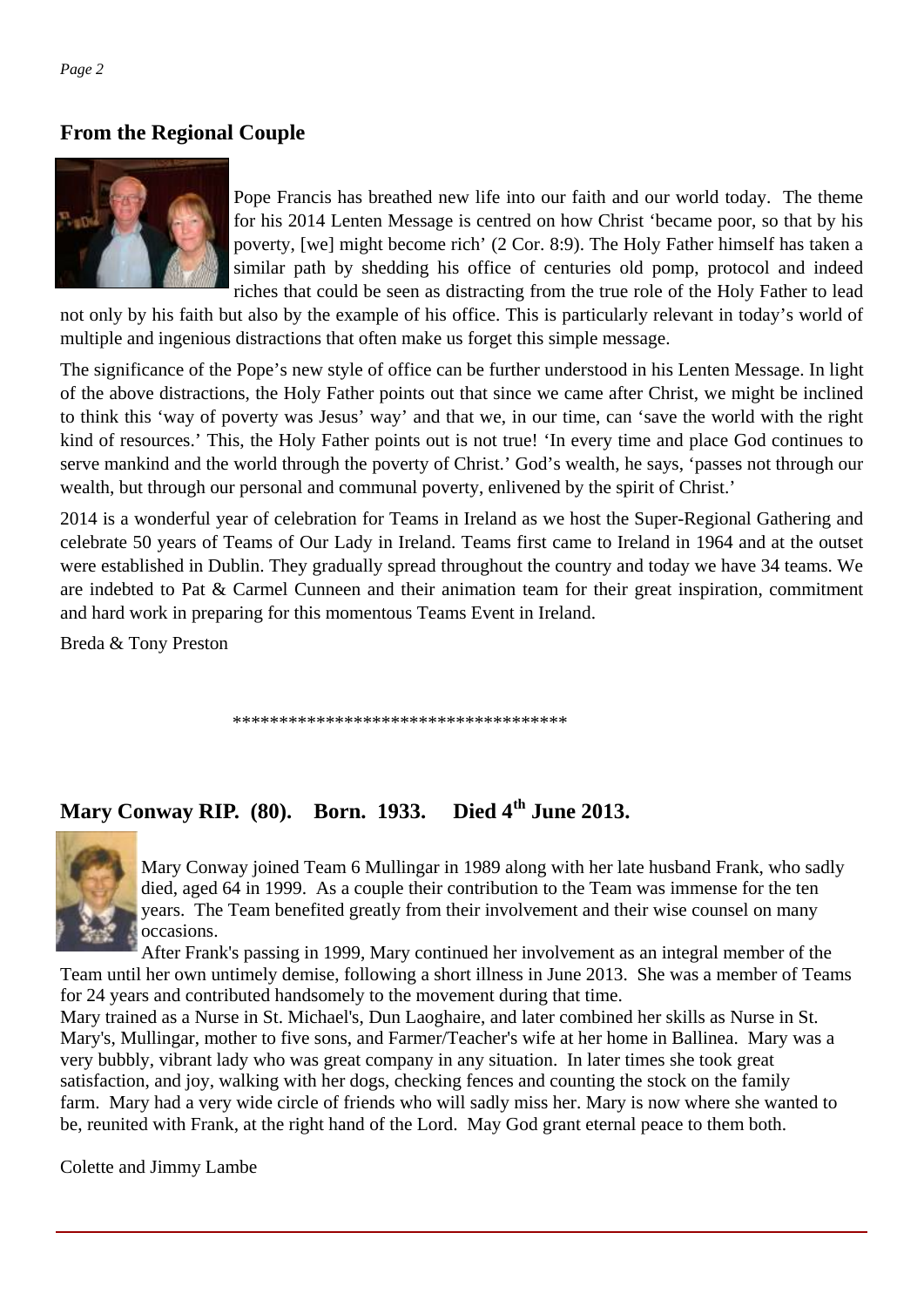# **From the Regional Couple**



Pope Francis has breathed new life into our faith and our world today. The theme for his 2014 Lenten Message is centred on how Christ 'became poor, so that by his poverty, [we] might become rich' (2 Cor. 8:9). The Holy Father himself has taken a similar path by shedding his office of centuries old pomp, protocol and indeed riches that could be seen as distracting from the true role of the Holy Father to lead

not only by his faith but also by the example of his office. This is particularly relevant in today's world of multiple and ingenious distractions that often make us forget this simple message.

The significance of the Pope's new style of office can be further understood in his Lenten Message. In light of the above distractions, the Holy Father points out that since we came after Christ, we might be inclined to think this 'way of poverty was Jesus' way' and that we, in our time, can 'save the world with the right kind of resources.' This, the Holy Father points out is not true! 'In every time and place God continues to serve mankind and the world through the poverty of Christ.' God's wealth, he says, 'passes not through our wealth, but through our personal and communal poverty, enlivened by the spirit of Christ.'

2014 is a wonderful year of celebration for Teams in Ireland as we host the Super-Regional Gathering and celebrate 50 years of Teams of Our Lady in Ireland. Teams first came to Ireland in 1964 and at the outset were established in Dublin. They gradually spread throughout the country and today we have 34 teams. We are indebted to Pat & Carmel Cunneen and their animation team for their great inspiration, commitment and hard work in preparing for this momentous Teams Event in Ireland.

Breda & Tony Preston

\*\*\*\*\*\*\*\*\*\*\*\*\*\*\*\*\*\*\*\*\*\*\*\*\*\*\*\*\*\*\*\*\*\*\*\*

# **Mary Conway RIP. (80). Born. 1933. Died 4th June 2013.**



Mary Conway joined Team 6 Mullingar in 1989 along with her late husband Frank, who sadly died, aged 64 in 1999. As a couple their contribution to the Team was immense for the ten years. The Team benefited greatly from their involvement and their wise counsel on many occasions.

After Frank's passing in 1999, Mary continued her involvement as an integral member of the Team until her own untimely demise, following a short illness in June 2013. She was a member of Teams for 24 years and contributed handsomely to the movement during that time.

Mary trained as a Nurse in St. Michael's, Dun Laoghaire, and later combined her skills as Nurse in St. Mary's, Mullingar, mother to five sons, and Farmer/Teacher's wife at her home in Ballinea. Mary was a very bubbly, vibrant lady who was great company in any situation. In later times she took great satisfaction, and joy, walking with her dogs, checking fences and counting the stock on the family farm. Mary had a very wide circle of friends who will sadly miss her. Mary is now where she wanted to be, reunited with Frank, at the right hand of the Lord. May God grant eternal peace to them both.

Colette and Jimmy Lambe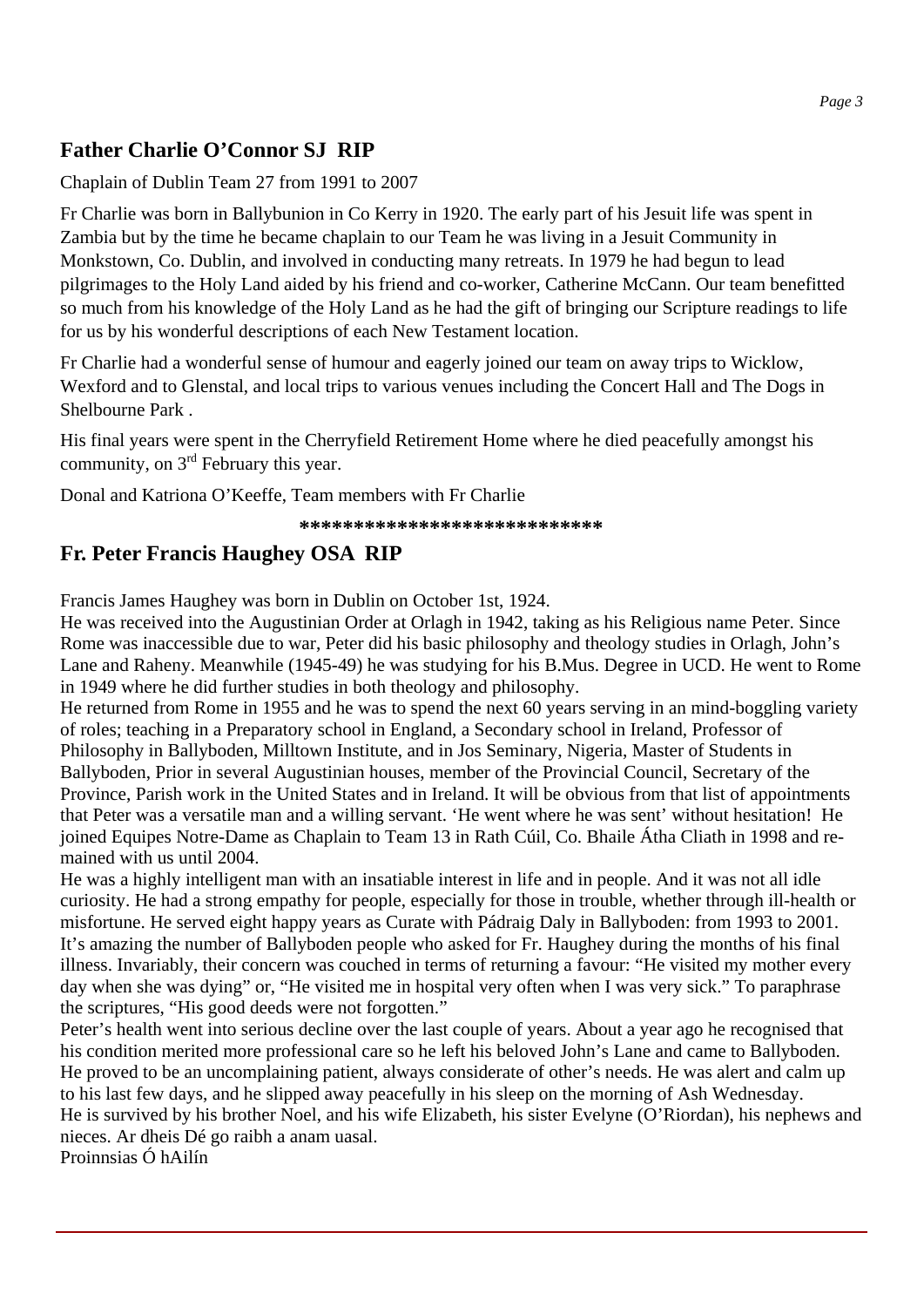# **Father Charlie O'Connor SJ RIP**

#### Chaplain of Dublin Team 27 from 1991 to 2007

Fr Charlie was born in Ballybunion in Co Kerry in 1920. The early part of his Jesuit life was spent in Zambia but by the time he became chaplain to our Team he was living in a Jesuit Community in Monkstown, Co. Dublin, and involved in conducting many retreats. In 1979 he had begun to lead pilgrimages to the Holy Land aided by his friend and co-worker, Catherine McCann. Our team benefitted so much from his knowledge of the Holy Land as he had the gift of bringing our Scripture readings to life for us by his wonderful descriptions of each New Testament location.

Fr Charlie had a wonderful sense of humour and eagerly joined our team on away trips to Wicklow, Wexford and to Glenstal, and local trips to various venues including the Concert Hall and The Dogs in Shelbourne Park .

His final years were spent in the Cherryfield Retirement Home where he died peacefully amongst his community, on  $3<sup>rd</sup>$  February this year.

Donal and Katriona O'Keeffe, Team members with Fr Charlie

 **\*\*\*\*\*\*\*\*\*\*\*\*\*\*\*\*\*\*\*\*\*\*\*\*\*\*\*\*** 

## **Fr. Peter Francis Haughey OSA RIP**

Francis James Haughey was born in Dublin on October 1st, 1924.

He was received into the Augustinian Order at Orlagh in 1942, taking as his Religious name Peter. Since Rome was inaccessible due to war, Peter did his basic philosophy and theology studies in Orlagh, John's Lane and Raheny. Meanwhile (1945-49) he was studying for his B.Mus. Degree in UCD. He went to Rome in 1949 where he did further studies in both theology and philosophy.

He returned from Rome in 1955 and he was to spend the next 60 years serving in an mind-boggling variety of roles; teaching in a Preparatory school in England, a Secondary school in Ireland, Professor of Philosophy in Ballyboden, Milltown Institute, and in Jos Seminary, Nigeria, Master of Students in Ballyboden, Prior in several Augustinian houses, member of the Provincial Council, Secretary of the Province, Parish work in the United States and in Ireland. It will be obvious from that list of appointments that Peter was a versatile man and a willing servant. 'He went where he was sent' without hesitation! He joined Equipes Notre-Dame as Chaplain to Team 13 in Rath Cúil, Co. Bhaile Átha Cliath in 1998 and remained with us until 2004.

He was a highly intelligent man with an insatiable interest in life and in people. And it was not all idle curiosity. He had a strong empathy for people, especially for those in trouble, whether through ill-health or misfortune. He served eight happy years as Curate with Pádraig Daly in Ballyboden: from 1993 to 2001. It's amazing the number of Ballyboden people who asked for Fr. Haughey during the months of his final illness. Invariably, their concern was couched in terms of returning a favour: "He visited my mother every day when she was dying" or, "He visited me in hospital very often when I was very sick." To paraphrase the scriptures, "His good deeds were not forgotten."

Peter's health went into serious decline over the last couple of years. About a year ago he recognised that his condition merited more professional care so he left his beloved John's Lane and came to Ballyboden. He proved to be an uncomplaining patient, always considerate of other's needs. He was alert and calm up to his last few days, and he slipped away peacefully in his sleep on the morning of Ash Wednesday. He is survived by his brother Noel, and his wife Elizabeth, his sister Evelyne (O'Riordan), his nephews and nieces. Ar dheis Dé go raibh a anam uasal.

Proinnsias Ó hAilín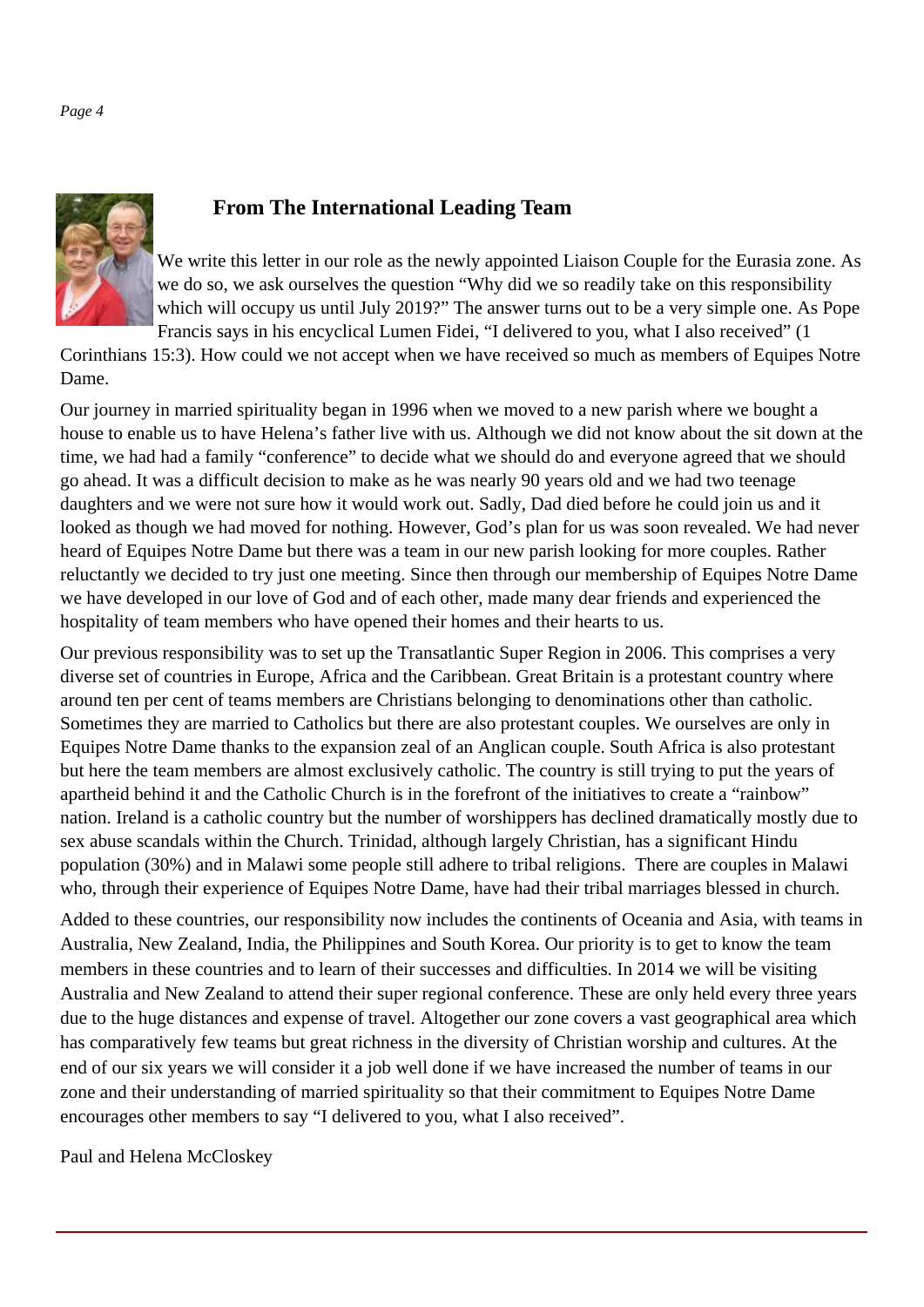

## **From The International Leading Team**

We write this letter in our role as the newly appointed Liaison Couple for the Eurasia zone. As we do so, we ask ourselves the question "Why did we so readily take on this responsibility which will occupy us until July 2019?" The answer turns out to be a very simple one. As Pope Francis says in his encyclical Lumen Fidei, "I delivered to you, what I also received" (1

Corinthians 15:3). How could we not accept when we have received so much as members of Equipes Notre Dame.

Our journey in married spirituality began in 1996 when we moved to a new parish where we bought a house to enable us to have Helena's father live with us. Although we did not know about the sit down at the time, we had had a family "conference" to decide what we should do and everyone agreed that we should go ahead. It was a difficult decision to make as he was nearly 90 years old and we had two teenage daughters and we were not sure how it would work out. Sadly, Dad died before he could join us and it looked as though we had moved for nothing. However, God's plan for us was soon revealed. We had never heard of Equipes Notre Dame but there was a team in our new parish looking for more couples. Rather reluctantly we decided to try just one meeting. Since then through our membership of Equipes Notre Dame we have developed in our love of God and of each other, made many dear friends and experienced the hospitality of team members who have opened their homes and their hearts to us.

Our previous responsibility was to set up the Transatlantic Super Region in 2006. This comprises a very diverse set of countries in Europe, Africa and the Caribbean. Great Britain is a protestant country where around ten per cent of teams members are Christians belonging to denominations other than catholic. Sometimes they are married to Catholics but there are also protestant couples. We ourselves are only in Equipes Notre Dame thanks to the expansion zeal of an Anglican couple. South Africa is also protestant but here the team members are almost exclusively catholic. The country is still trying to put the years of apartheid behind it and the Catholic Church is in the forefront of the initiatives to create a "rainbow" nation. Ireland is a catholic country but the number of worshippers has declined dramatically mostly due to sex abuse scandals within the Church. Trinidad, although largely Christian, has a significant Hindu population (30%) and in Malawi some people still adhere to tribal religions. There are couples in Malawi who, through their experience of Equipes Notre Dame, have had their tribal marriages blessed in church.

Added to these countries, our responsibility now includes the continents of Oceania and Asia, with teams in Australia, New Zealand, India, the Philippines and South Korea. Our priority is to get to know the team members in these countries and to learn of their successes and difficulties. In 2014 we will be visiting Australia and New Zealand to attend their super regional conference. These are only held every three years due to the huge distances and expense of travel. Altogether our zone covers a vast geographical area which has comparatively few teams but great richness in the diversity of Christian worship and cultures. At the end of our six years we will consider it a job well done if we have increased the number of teams in our zone and their understanding of married spirituality so that their commitment to Equipes Notre Dame encourages other members to say "I delivered to you, what I also received".

Paul and Helena McCloskey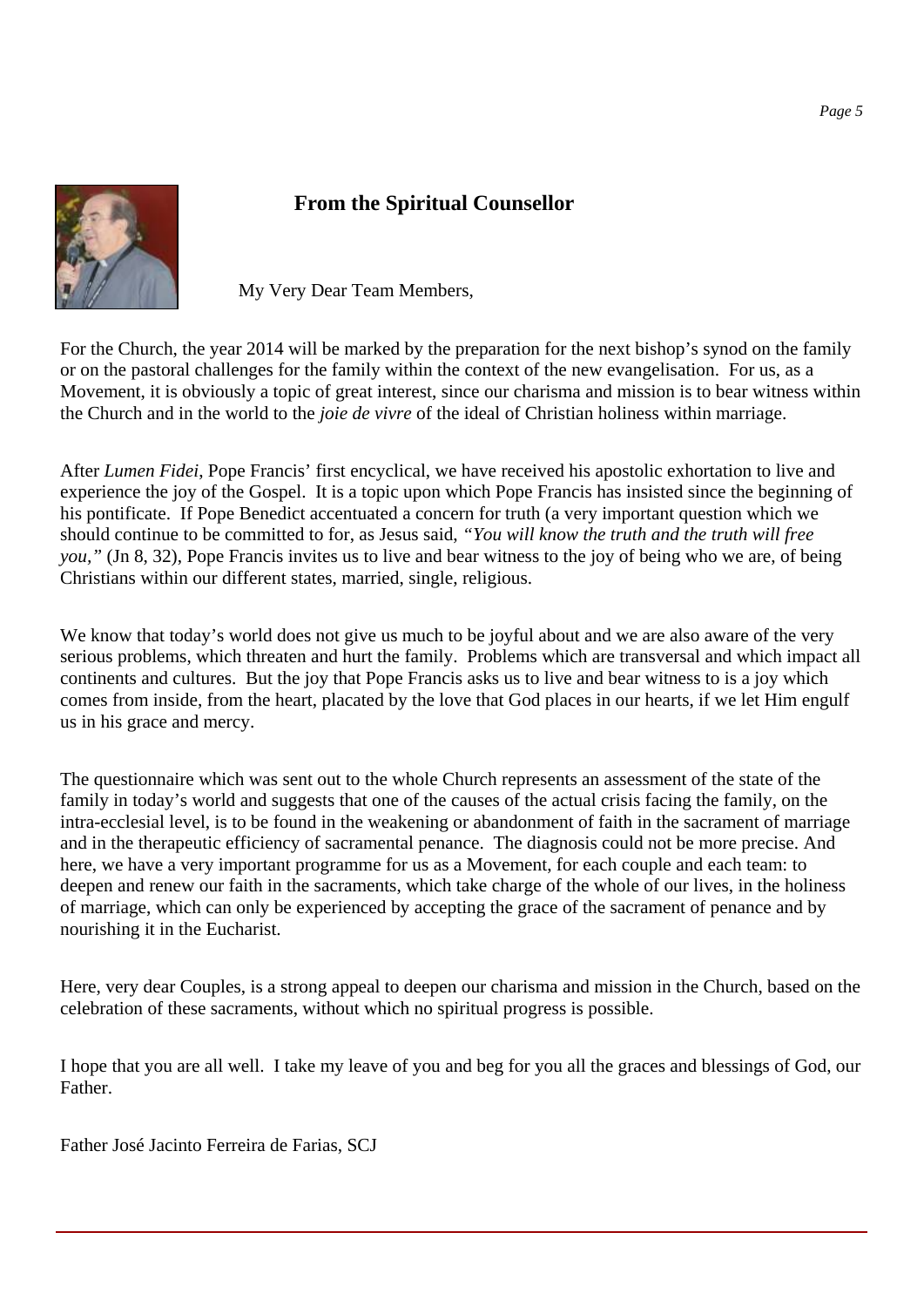

# **From the Spiritual Counsellor**

My Very Dear Team Members,

For the Church, the year 2014 will be marked by the preparation for the next bishop's synod on the family or on the pastoral challenges for the family within the context of the new evangelisation. For us, as a Movement, it is obviously a topic of great interest, since our charisma and mission is to bear witness within the Church and in the world to the *joie de vivre* of the ideal of Christian holiness within marriage.

After *Lumen Fidei*, Pope Francis' first encyclical, we have received his apostolic exhortation to live and experience the joy of the Gospel. It is a topic upon which Pope Francis has insisted since the beginning of his pontificate. If Pope Benedict accentuated a concern for truth (a very important question which we should continue to be committed to for, as Jesus said, *"You will know the truth and the truth will free you,"* (Jn 8, 32), Pope Francis invites us to live and bear witness to the joy of being who we are, of being Christians within our different states, married, single, religious.

We know that today's world does not give us much to be joyful about and we are also aware of the very serious problems, which threaten and hurt the family. Problems which are transversal and which impact all continents and cultures. But the joy that Pope Francis asks us to live and bear witness to is a joy which comes from inside, from the heart, placated by the love that God places in our hearts, if we let Him engulf us in his grace and mercy.

The questionnaire which was sent out to the whole Church represents an assessment of the state of the family in today's world and suggests that one of the causes of the actual crisis facing the family, on the intra-ecclesial level, is to be found in the weakening or abandonment of faith in the sacrament of marriage and in the therapeutic efficiency of sacramental penance. The diagnosis could not be more precise. And here, we have a very important programme for us as a Movement, for each couple and each team: to deepen and renew our faith in the sacraments, which take charge of the whole of our lives, in the holiness of marriage, which can only be experienced by accepting the grace of the sacrament of penance and by nourishing it in the Eucharist.

Here, very dear Couples, is a strong appeal to deepen our charisma and mission in the Church, based on the celebration of these sacraments, without which no spiritual progress is possible.

I hope that you are all well. I take my leave of you and beg for you all the graces and blessings of God, our Father.

Father José Jacinto Ferreira de Farias, SCJ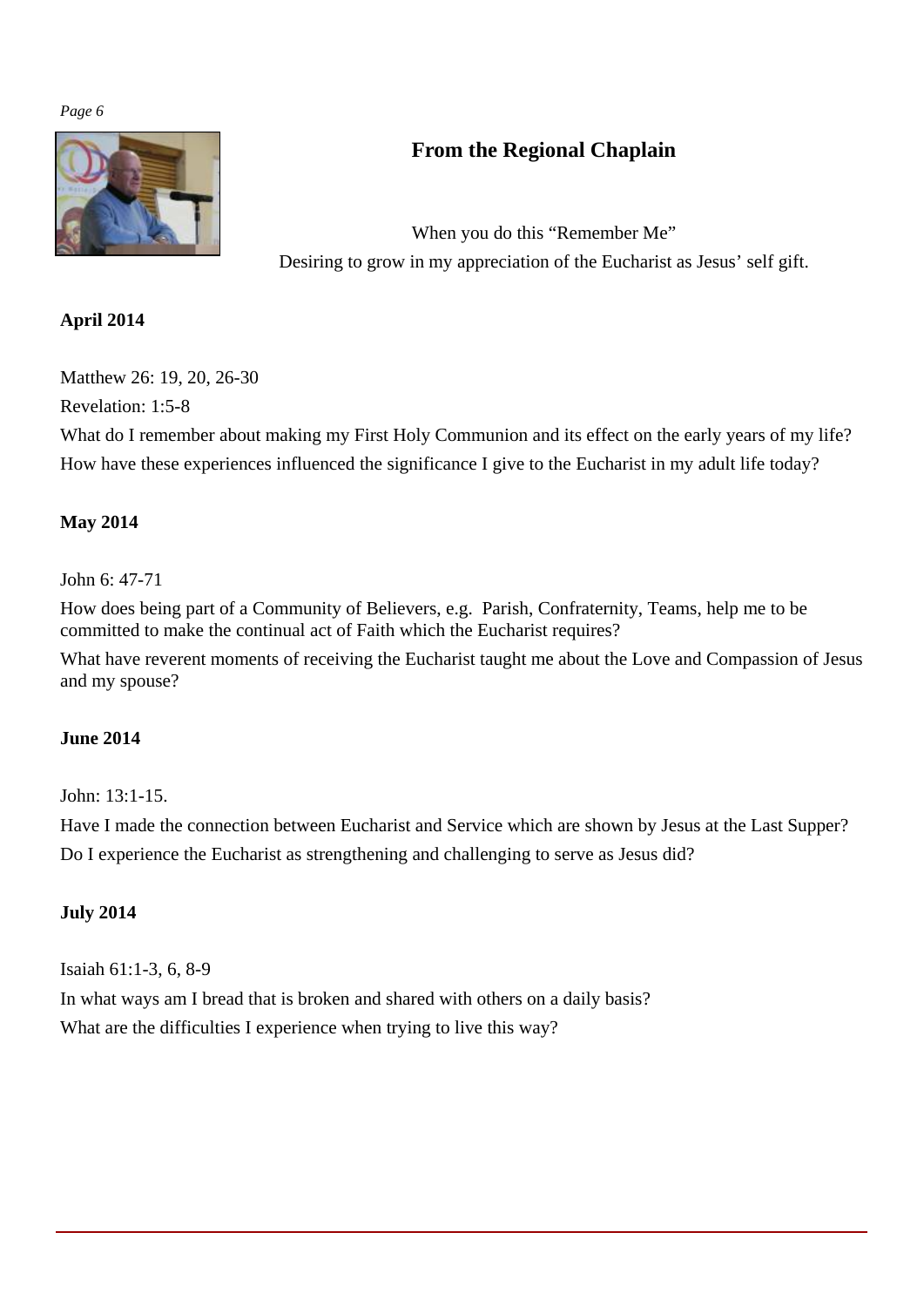

# **From the Regional Chaplain**

When you do this "Remember Me" Desiring to grow in my appreciation of the Eucharist as Jesus' self gift.

#### **April 2014**

Matthew 26: 19, 20, 26-30

Revelation: 1:5-8

What do I remember about making my First Holy Communion and its effect on the early years of my life? How have these experiences influenced the significance I give to the Eucharist in my adult life today?

#### **May 2014**

#### John 6: 47-71

How does being part of a Community of Believers, e.g. Parish, Confraternity, Teams, help me to be committed to make the continual act of Faith which the Eucharist requires?

What have reverent moments of receiving the Eucharist taught me about the Love and Compassion of Jesus and my spouse?

#### **June 2014**

John: 13:1-15.

Have I made the connection between Eucharist and Service which are shown by Jesus at the Last Supper? Do I experience the Eucharist as strengthening and challenging to serve as Jesus did?

#### **July 2014**

Isaiah 61:1-3, 6, 8-9 In what ways am I bread that is broken and shared with others on a daily basis? What are the difficulties I experience when trying to live this way?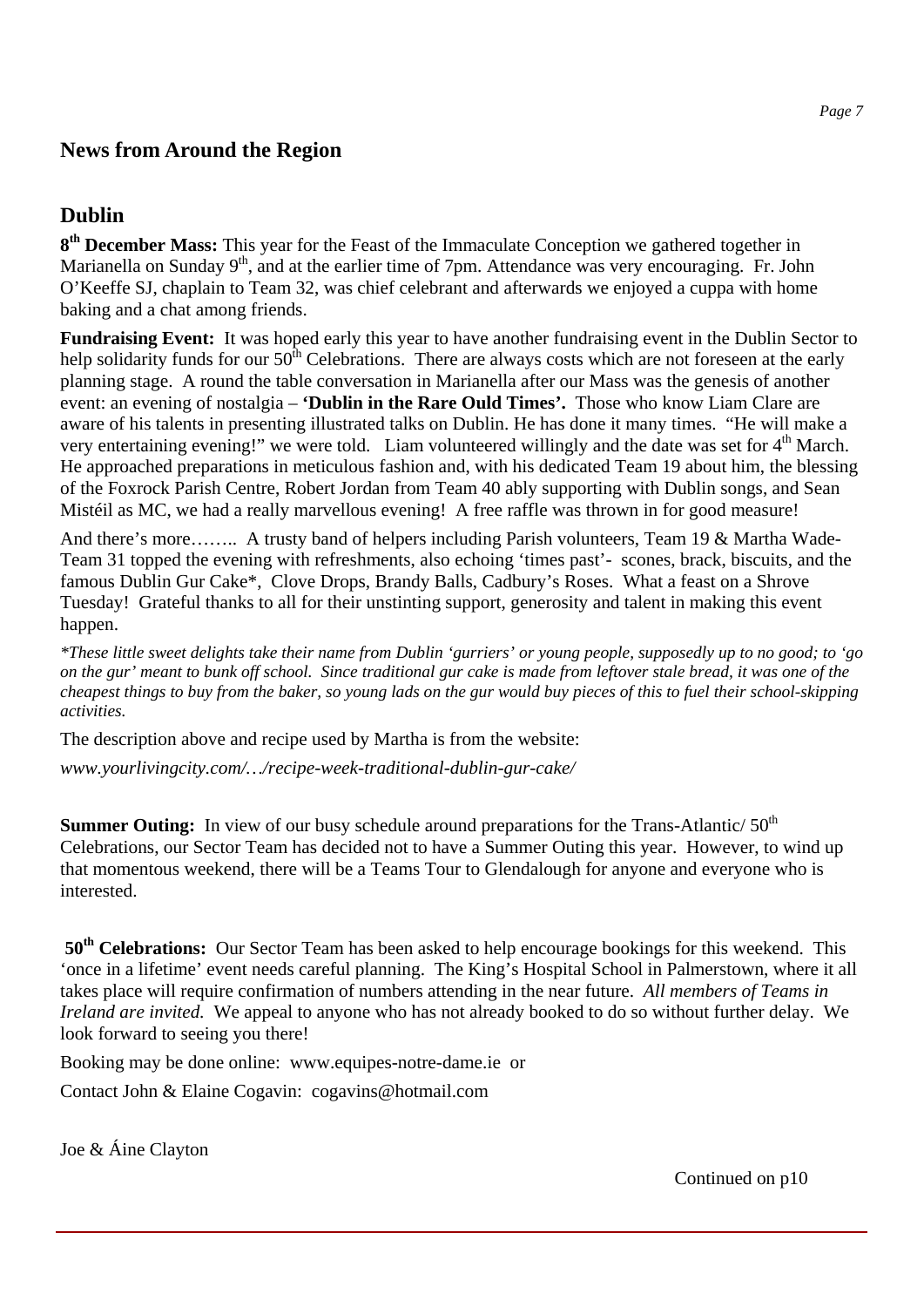#### **News from Around the Region**

## **Dublin**

**8th December Mass:** This year for the Feast of the Immaculate Conception we gathered together in Marianella on Sunday  $9<sup>th</sup>$ , and at the earlier time of 7pm. Attendance was very encouraging. Fr. John O'Keeffe SJ, chaplain to Team 32, was chief celebrant and afterwards we enjoyed a cuppa with home baking and a chat among friends.

**Fundraising Event:** It was hoped early this year to have another fundraising event in the Dublin Sector to help solidarity funds for our  $50<sup>th</sup>$  Celebrations. There are always costs which are not foreseen at the early planning stage. A round the table conversation in Marianella after our Mass was the genesis of another event: an evening of nostalgia – **'Dublin in the Rare Ould Times'.** Those who know Liam Clare are aware of his talents in presenting illustrated talks on Dublin. He has done it many times. "He will make a very entertaining evening!" we were told. Liam volunteered willingly and the date was set for  $4<sup>th</sup>$  March. He approached preparations in meticulous fashion and, with his dedicated Team 19 about him, the blessing of the Foxrock Parish Centre, Robert Jordan from Team 40 ably supporting with Dublin songs, and Sean Mistéil as MC, we had a really marvellous evening! A free raffle was thrown in for good measure!

And there's more…….. A trusty band of helpers including Parish volunteers, Team 19 & Martha Wade-Team 31 topped the evening with refreshments, also echoing 'times past'- scones, brack, biscuits, and the famous Dublin Gur Cake\*, Clove Drops, Brandy Balls, Cadbury's Roses. What a feast on a Shrove Tuesday! Grateful thanks to all for their unstinting support, generosity and talent in making this event happen.

*\*These little sweet delights take their name from Dublin 'gurriers' or young people, supposedly up to no good; to 'go on the gur' meant to bunk off school. Since traditional gur cake is made from leftover stale bread, it was one of the cheapest things to buy from the baker, so young lads on the gur would buy pieces of this to fuel their school-skipping activities.*

The description above and recipe used by Martha is from the website:

*www.yourlivingcity.com/…/recipe-week-traditional-dublin-gur-cake/* 

**Summer Outing:** In view of our busy schedule around preparations for the Trans-Atlantic/ 50<sup>th</sup> Celebrations, our Sector Team has decided not to have a Summer Outing this year. However, to wind up that momentous weekend, there will be a Teams Tour to Glendalough for anyone and everyone who is interested.

**50th Celebrations:** Our Sector Team has been asked to help encourage bookings for this weekend. This 'once in a lifetime' event needs careful planning. The King's Hospital School in Palmerstown, where it all takes place will require confirmation of numbers attending in the near future. *All members of Teams in Ireland are invited.* We appeal to anyone who has not already booked to do so without further delay. We look forward to seeing you there!

Booking may be done online: www.equipes-notre-dame.ie or

Contact John & Elaine Cogavin: cogavins@hotmail.com

Joe & Áine Clayton

Continued on p10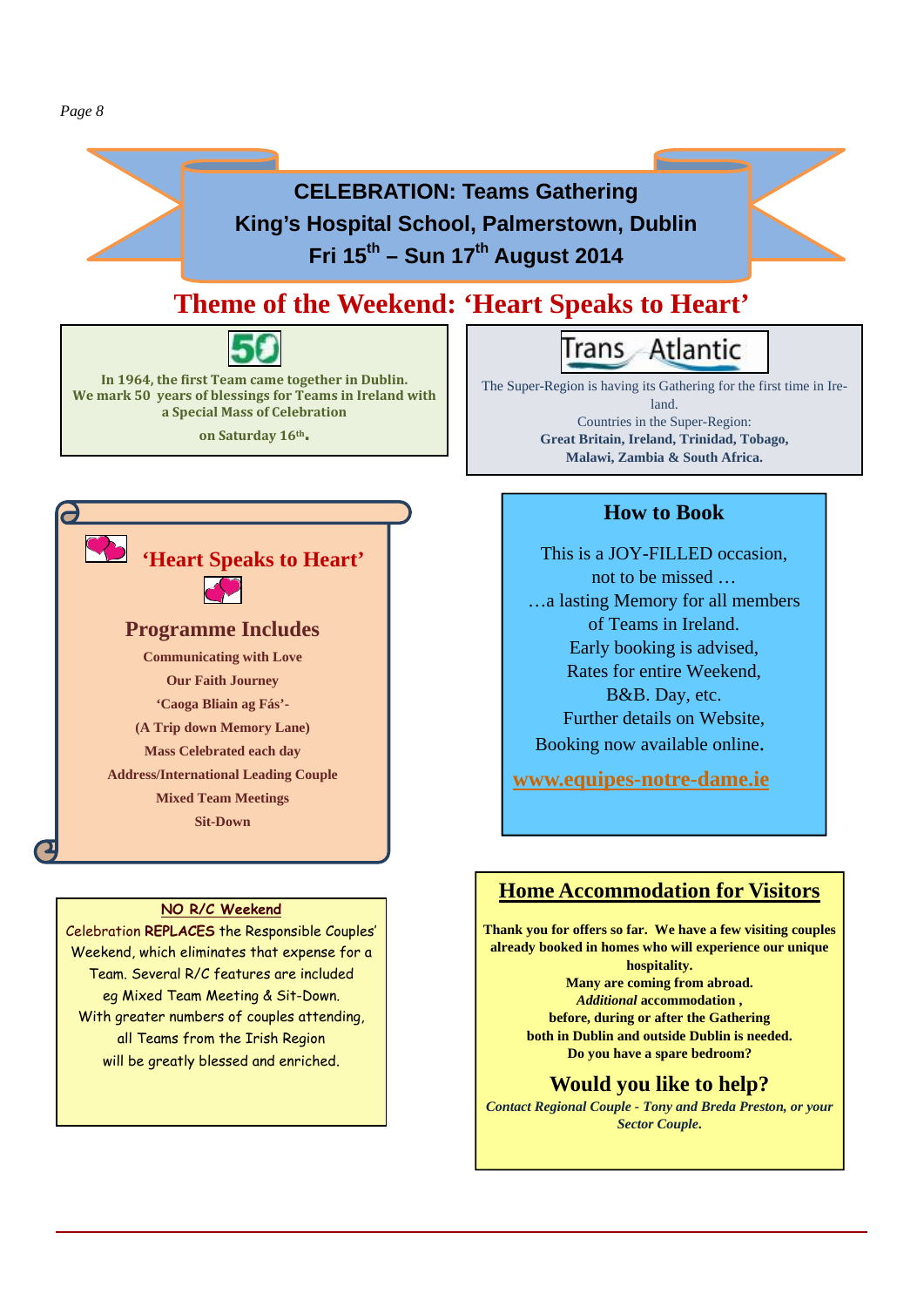

#### **NO R/C Weekend**

Celebration **REPLACES** the Responsible Couples' Weekend, which eliminates that expense for a Team. Several R/C features are included eg Mixed Team Meeting & Sit-Down. With greater numbers of couples attending, all Teams from the Irish Region will be greatly blessed and enriched.

#### **Home Accommodation for Visitors**

**Thank you for offers so far. We have a few visiting couples already booked in homes who will experience our unique hospitality. Many are coming from abroad.**  *Additional* **accommodation , before, during or after the Gathering both in Dublin and outside Dublin is needed. Do you have a spare bedroom?** 

#### **Would you like to help?**

*Contact Regional Couple - Tony and Breda Preston, or your Sector Couple***.**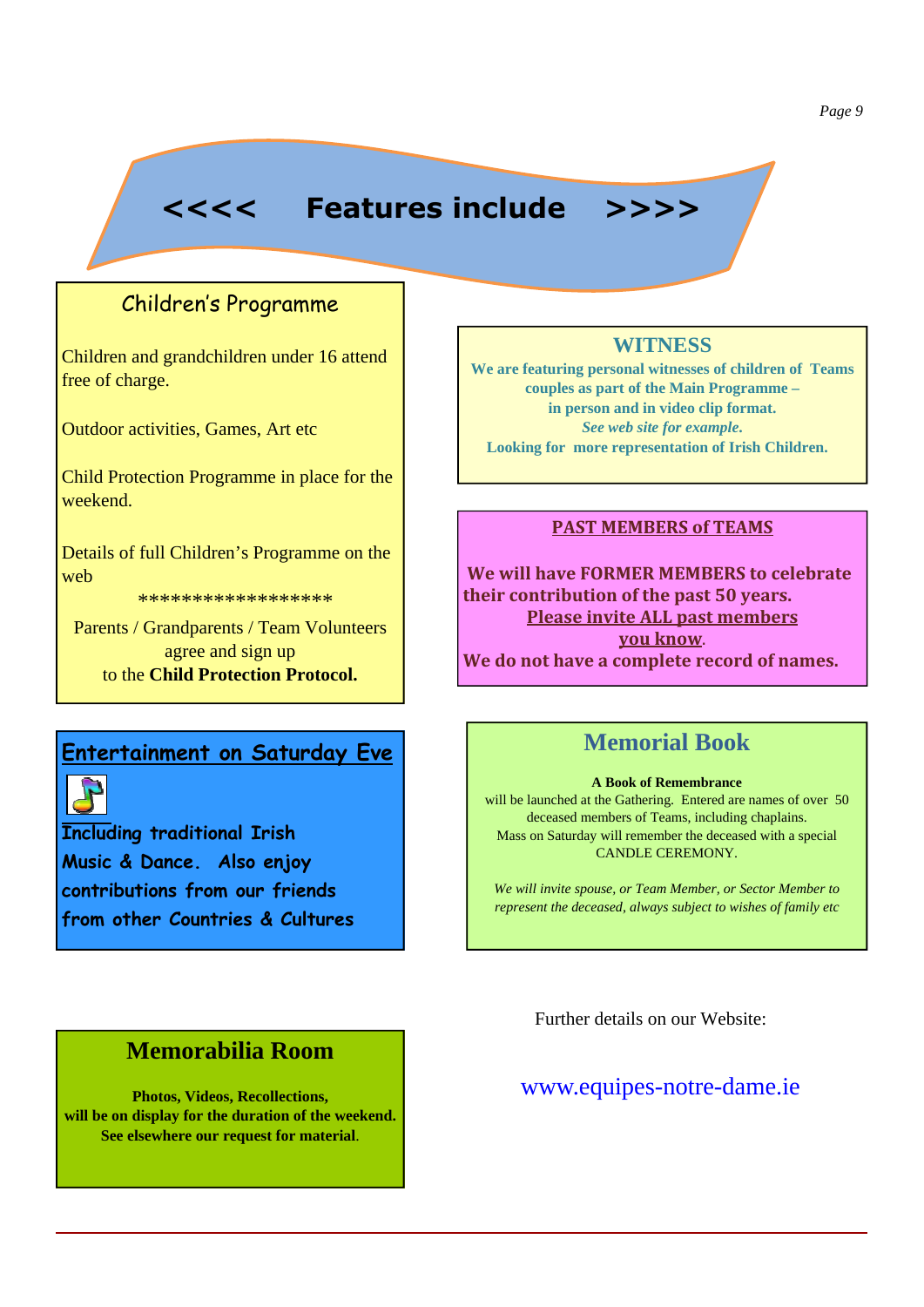# **<<<< Features include >>>>**

# Children's Programme

Children and grandchildren under 16 attend free of charge.

Outdoor activities, Games, Art etc

Child Protection Programme in place for the weekend.

Details of full Children's Programme on the web

\*\*\*\*\*\*\*\*\*\*\*\*\*\*\*\*\*\*

Parents / Grandparents / Team Volunteers agree and sign up to the **Child Protection Protocol.** 

#### **Entertainment on Saturday Eve**

**Including traditional Irish Music & Dance. Also enjoy contributions from our friends from other Countries & Cultures**

# **Memorabilia Room**

**Photos, Videos, Recollections, will be on display for the duration of the weekend. See elsewhere our request for material**.

#### **WITNESS**

**We are featuring personal witnesses of children of Teams couples as part of the Main Programme – in person and in video clip format.** *See web site for example***. Looking for more representation of Irish Children.**

#### **PAST MEMBERS of TEAMS**

**We will have FORMER MEMBERS to celebrate their contribution of the past 50 years. Please invite ALL past members you know**. **We do not have a complete record of names.**

# **Memorial Book**

#### **A Book of Remembrance**

will be launched at the Gathering. Entered are names of over 50 deceased members of Teams, including chaplains. Mass on Saturday will remember the deceased with a special CANDLE CEREMONY.

*We will invite spouse, or Team Member, or Sector Member to represent the deceased, always subject to wishes of family etc* 

Further details on our Website:

#### www.equipes-notre-dame.ie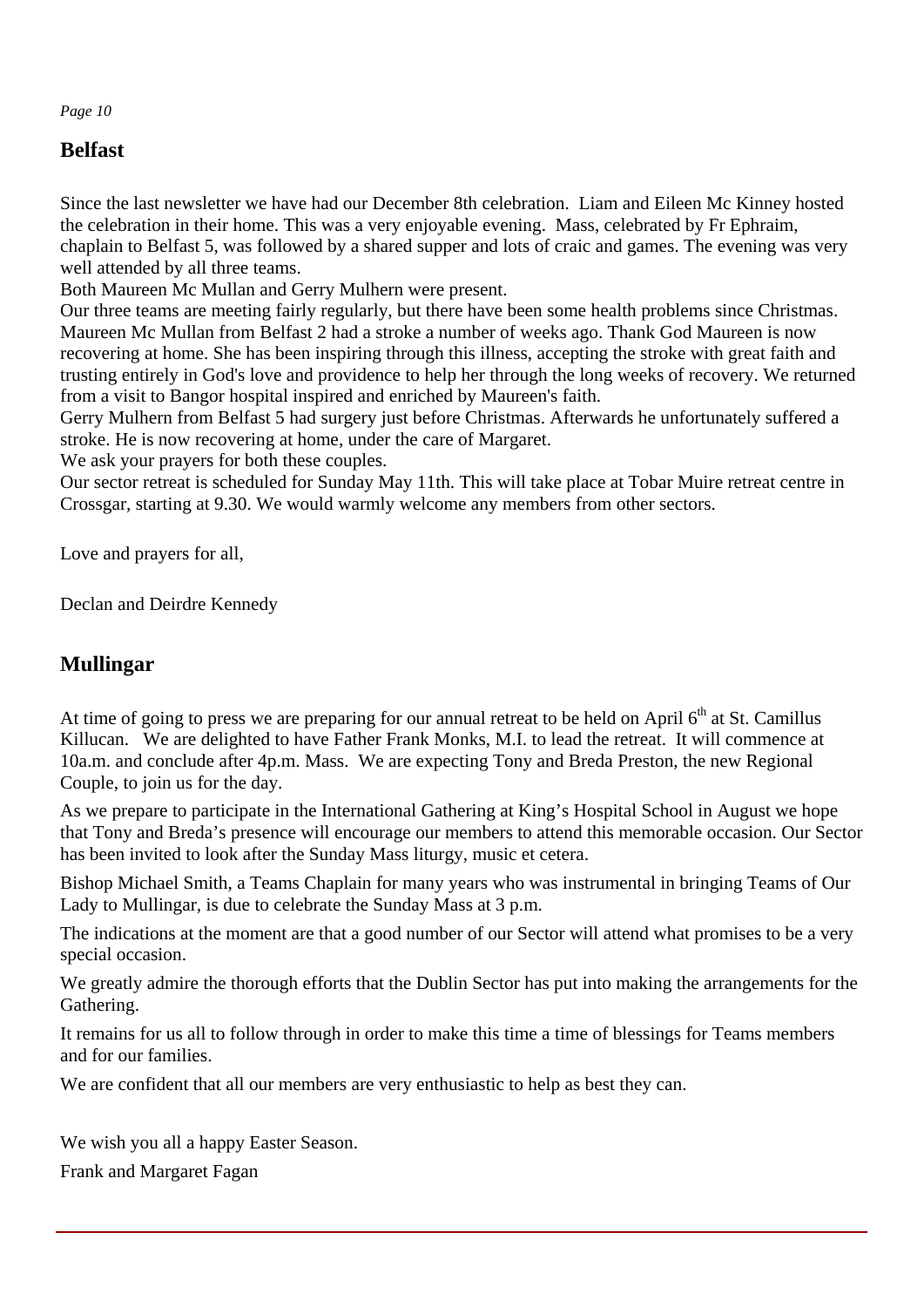# **Belfast**

Since the last newsletter we have had our December 8th celebration. Liam and Eileen Mc Kinney hosted the celebration in their home. This was a very enjoyable evening. Mass, celebrated by Fr Ephraim, chaplain to Belfast 5, was followed by a shared supper and lots of craic and games. The evening was very well attended by all three teams.

Both Maureen Mc Mullan and Gerry Mulhern were present.

Our three teams are meeting fairly regularly, but there have been some health problems since Christmas. Maureen Mc Mullan from Belfast 2 had a stroke a number of weeks ago. Thank God Maureen is now recovering at home. She has been inspiring through this illness, accepting the stroke with great faith and trusting entirely in God's love and providence to help her through the long weeks of recovery. We returned from a visit to Bangor hospital inspired and enriched by Maureen's faith.

Gerry Mulhern from Belfast 5 had surgery just before Christmas. Afterwards he unfortunately suffered a stroke. He is now recovering at home, under the care of Margaret.

We ask your prayers for both these couples.

Our sector retreat is scheduled for Sunday May 11th. This will take place at Tobar Muire retreat centre in Crossgar, starting at 9.30. We would warmly welcome any members from other sectors.

Love and prayers for all,

Declan and Deirdre Kennedy

#### **Mullingar**

At time of going to press we are preparing for our annual retreat to be held on April  $6<sup>th</sup>$  at St. Camillus Killucan. We are delighted to have Father Frank Monks, M.I. to lead the retreat. It will commence at 10a.m. and conclude after 4p.m. Mass. We are expecting Tony and Breda Preston, the new Regional Couple, to join us for the day.

As we prepare to participate in the International Gathering at King's Hospital School in August we hope that Tony and Breda's presence will encourage our members to attend this memorable occasion. Our Sector has been invited to look after the Sunday Mass liturgy, music et cetera.

Bishop Michael Smith, a Teams Chaplain for many years who was instrumental in bringing Teams of Our Lady to Mullingar, is due to celebrate the Sunday Mass at 3 p.m.

The indications at the moment are that a good number of our Sector will attend what promises to be a very special occasion.

We greatly admire the thorough efforts that the Dublin Sector has put into making the arrangements for the Gathering.

It remains for us all to follow through in order to make this time a time of blessings for Teams members and for our families.

We are confident that all our members are very enthusiastic to help as best they can.

We wish you all a happy Easter Season.

Frank and Margaret Fagan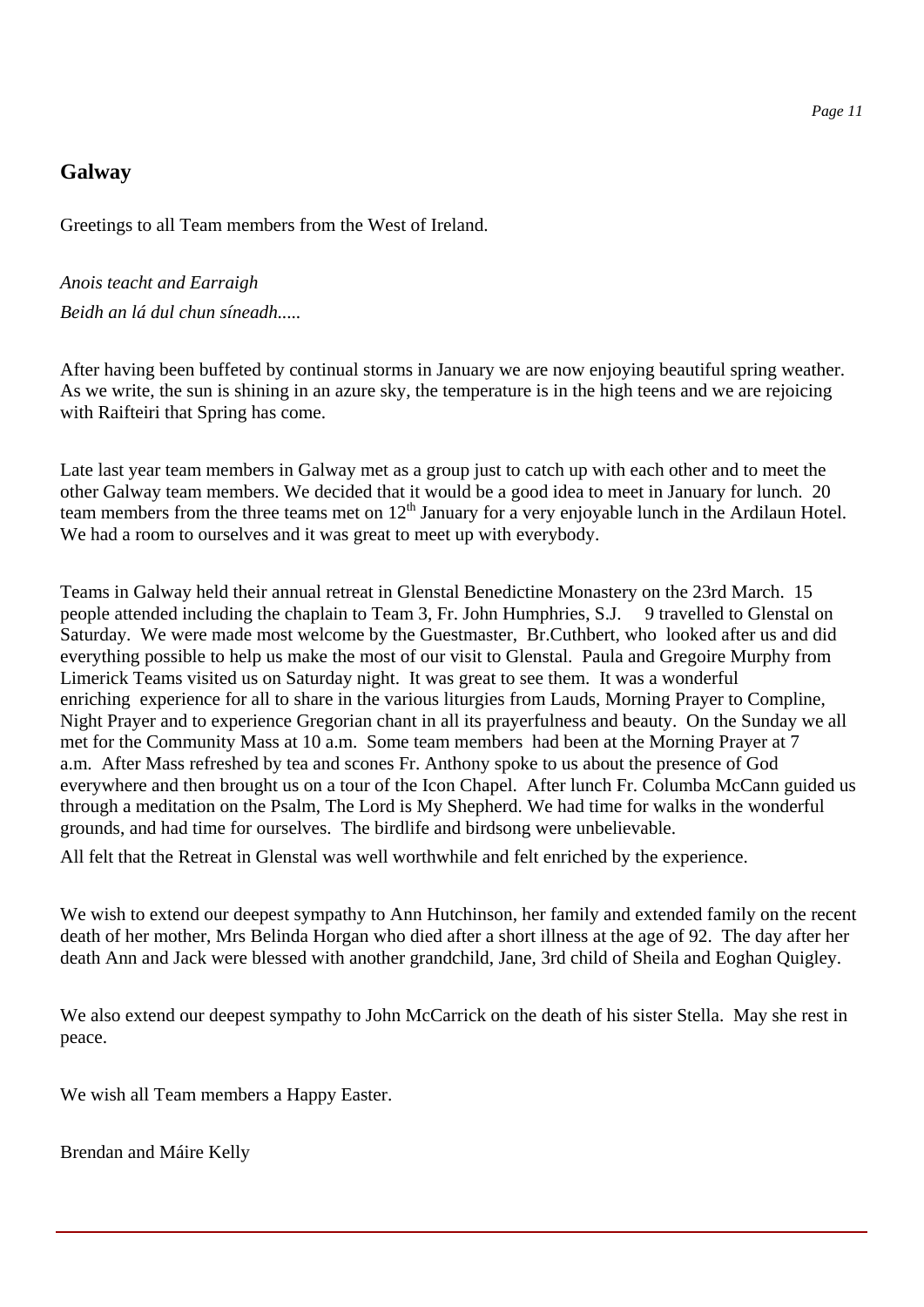#### **Galway**

Greetings to all Team members from the West of Ireland.

*Anois teacht and Earraigh Beidh an lá dul chun síneadh.....*

After having been buffeted by continual storms in January we are now enjoying beautiful spring weather. As we write, the sun is shining in an azure sky, the temperature is in the high teens and we are rejoicing with Raifteiri that Spring has come.

Late last year team members in Galway met as a group just to catch up with each other and to meet the other Galway team members. We decided that it would be a good idea to meet in January for lunch. 20 team members from the three teams met on 12<sup>th</sup> January for a very enjoyable lunch in the Ardilaun Hotel. We had a room to ourselves and it was great to meet up with everybody.

Teams in Galway held their annual retreat in Glenstal Benedictine Monastery on the 23rd March. 15 people attended including the chaplain to Team 3, Fr. John Humphries, S.J. 9 travelled to Glenstal on Saturday. We were made most welcome by the Guestmaster, Br.Cuthbert, who looked after us and did everything possible to help us make the most of our visit to Glenstal. Paula and Gregoire Murphy from Limerick Teams visited us on Saturday night. It was great to see them. It was a wonderful enriching experience for all to share in the various liturgies from Lauds, Morning Prayer to Compline, Night Prayer and to experience Gregorian chant in all its prayerfulness and beauty. On the Sunday we all met for the Community Mass at 10 a.m. Some team members had been at the Morning Prayer at 7 a.m. After Mass refreshed by tea and scones Fr. Anthony spoke to us about the presence of God everywhere and then brought us on a tour of the Icon Chapel. After lunch Fr. Columba McCann guided us through a meditation on the Psalm, The Lord is My Shepherd. We had time for walks in the wonderful grounds, and had time for ourselves. The birdlife and birdsong were unbelievable.

All felt that the Retreat in Glenstal was well worthwhile and felt enriched by the experience.

We wish to extend our deepest sympathy to Ann Hutchinson, her family and extended family on the recent death of her mother, Mrs Belinda Horgan who died after a short illness at the age of 92. The day after her death Ann and Jack were blessed with another grandchild, Jane, 3rd child of Sheila and Eoghan Quigley.

We also extend our deepest sympathy to John McCarrick on the death of his sister Stella. May she rest in peace.

We wish all Team members a Happy Easter.

Brendan and Máire Kelly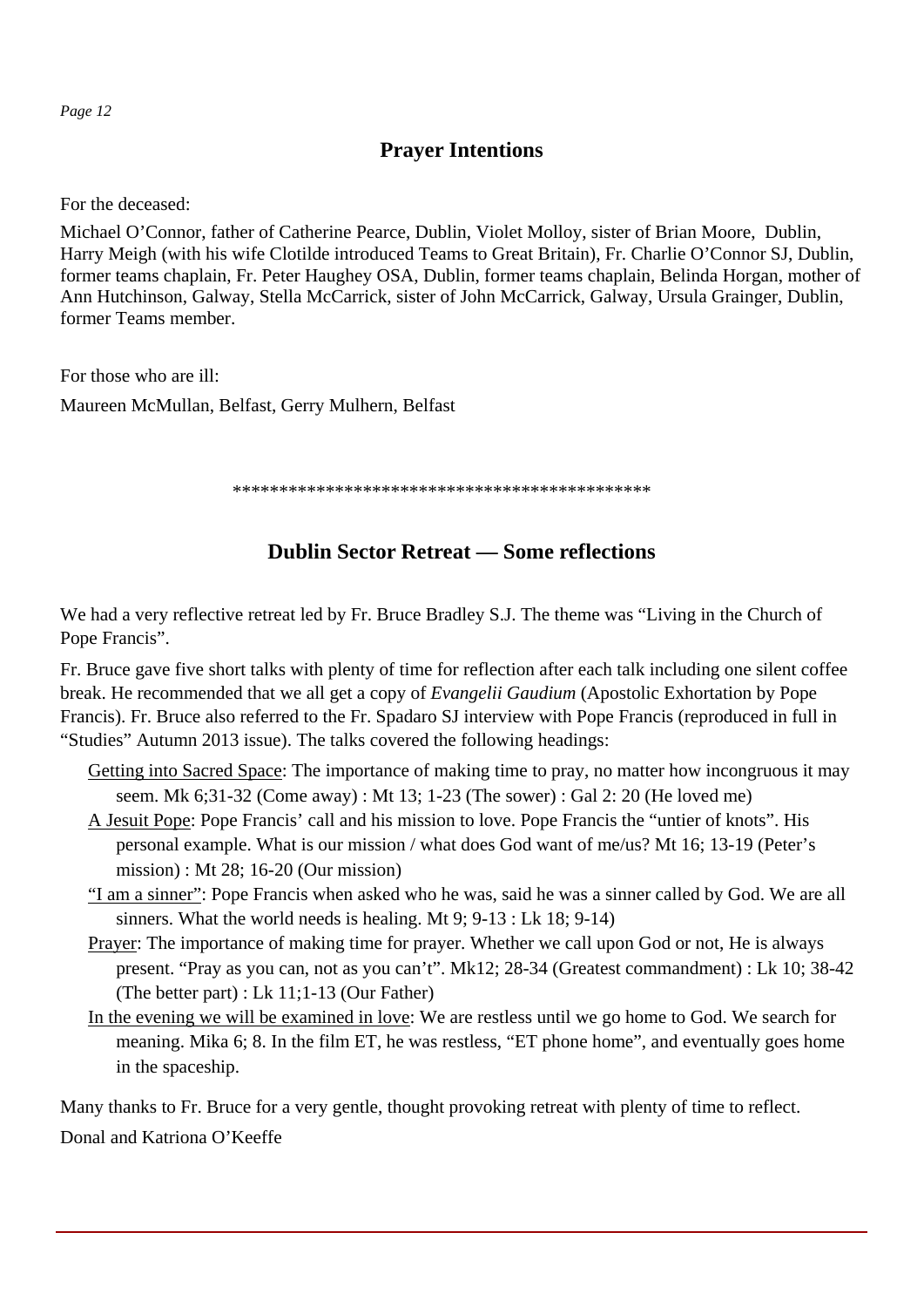# **Prayer Intentions**

For the deceased:

Michael O'Connor, father of Catherine Pearce, Dublin, Violet Molloy, sister of Brian Moore, Dublin, Harry Meigh (with his wife Clotilde introduced Teams to Great Britain), Fr. Charlie O'Connor SJ, Dublin, former teams chaplain, Fr. Peter Haughey OSA, Dublin, former teams chaplain, Belinda Horgan, mother of Ann Hutchinson, Galway, Stella McCarrick, sister of John McCarrick, Galway, Ursula Grainger, Dublin, former Teams member.

For those who are ill:

Maureen McMullan, Belfast, Gerry Mulhern, Belfast

\*\*\*\*\*\*\*\*\*\*\*\*\*\*\*\*\*\*\*\*\*\*\*\*\*\*\*\*\*\*\*\*\*\*\*\*\*\*\*\*\*\*\*\*\*

#### **Dublin Sector Retreat — Some reflections**

We had a very reflective retreat led by Fr. Bruce Bradley S.J. The theme was "Living in the Church of Pope Francis".

Fr. Bruce gave five short talks with plenty of time for reflection after each talk including one silent coffee break. He recommended that we all get a copy of *Evangelii Gaudium* (Apostolic Exhortation by Pope Francis). Fr. Bruce also referred to the Fr. Spadaro SJ interview with Pope Francis (reproduced in full in "Studies" Autumn 2013 issue). The talks covered the following headings:

- Getting into Sacred Space: The importance of making time to pray, no matter how incongruous it may seem. Mk 6;31-32 (Come away) : Mt 13; 1-23 (The sower) : Gal 2: 20 (He loved me)
- A Jesuit Pope: Pope Francis' call and his mission to love. Pope Francis the "untier of knots". His personal example. What is our mission / what does God want of me/us? Mt 16; 13-19 (Peter's mission) : Mt 28; 16-20 (Our mission)
- "I am a sinner": Pope Francis when asked who he was, said he was a sinner called by God. We are all sinners. What the world needs is healing. Mt 9; 9-13 : Lk 18; 9-14)
- Prayer: The importance of making time for prayer. Whether we call upon God or not, He is always present. "Pray as you can, not as you can't". Mk12; 28-34 (Greatest commandment) : Lk 10; 38-42 (The better part) : Lk 11;1-13 (Our Father)
- In the evening we will be examined in love: We are restless until we go home to God. We search for meaning. Mika 6; 8. In the film ET, he was restless, "ET phone home", and eventually goes home in the spaceship.

Many thanks to Fr. Bruce for a very gentle, thought provoking retreat with plenty of time to reflect.

Donal and Katriona O'Keeffe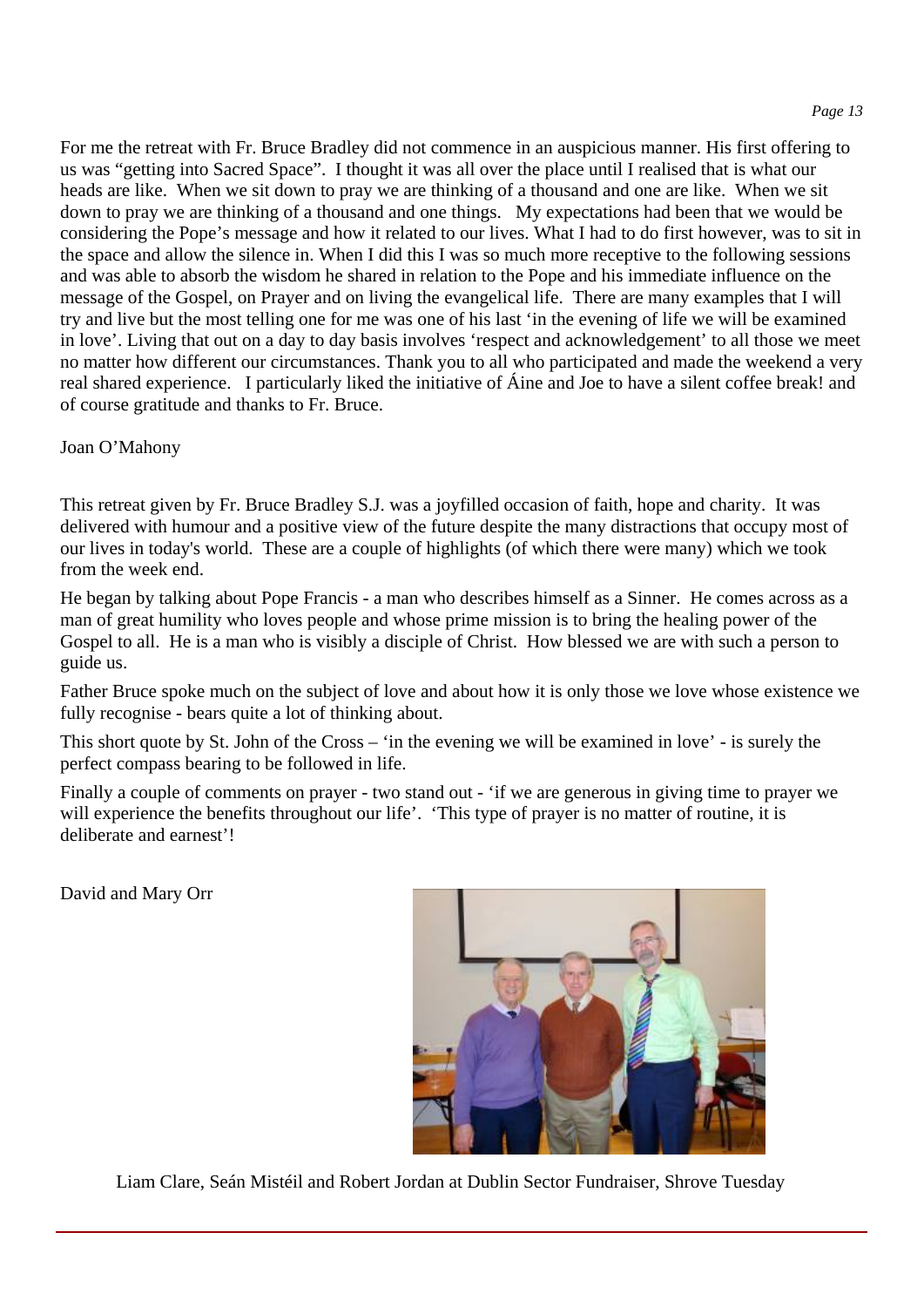For me the retreat with Fr. Bruce Bradley did not commence in an auspicious manner. His first offering to us was "getting into Sacred Space". I thought it was all over the place until I realised that is what our heads are like. When we sit down to pray we are thinking of a thousand and one are like. When we sit down to pray we are thinking of a thousand and one things. My expectations had been that we would be considering the Pope's message and how it related to our lives. What I had to do first however, was to sit in the space and allow the silence in. When I did this I was so much more receptive to the following sessions and was able to absorb the wisdom he shared in relation to the Pope and his immediate influence on the message of the Gospel, on Prayer and on living the evangelical life. There are many examples that I will try and live but the most telling one for me was one of his last 'in the evening of life we will be examined in love'. Living that out on a day to day basis involves 'respect and acknowledgement' to all those we meet no matter how different our circumstances. Thank you to all who participated and made the weekend a very real shared experience. I particularly liked the initiative of Áine and Joe to have a silent coffee break! and of course gratitude and thanks to Fr. Bruce.

Joan O'Mahony

This retreat given by Fr. Bruce Bradley S.J. was a joyfilled occasion of faith, hope and charity. It was delivered with humour and a positive view of the future despite the many distractions that occupy most of our lives in today's world. These are a couple of highlights (of which there were many) which we took from the week end.

He began by talking about Pope Francis - a man who describes himself as a Sinner. He comes across as a man of great humility who loves people and whose prime mission is to bring the healing power of the Gospel to all. He is a man who is visibly a disciple of Christ. How blessed we are with such a person to guide us.

Father Bruce spoke much on the subject of love and about how it is only those we love whose existence we fully recognise - bears quite a lot of thinking about.

This short quote by St. John of the Cross – 'in the evening we will be examined in love' - is surely the perfect compass bearing to be followed in life.

Finally a couple of comments on prayer - two stand out - 'if we are generous in giving time to prayer we will experience the benefits throughout our life'. 'This type of prayer is no matter of routine, it is deliberate and earnest'!

David and Mary Orr



Liam Clare, Seán Mistéil and Robert Jordan at Dublin Sector Fundraiser, Shrove Tuesday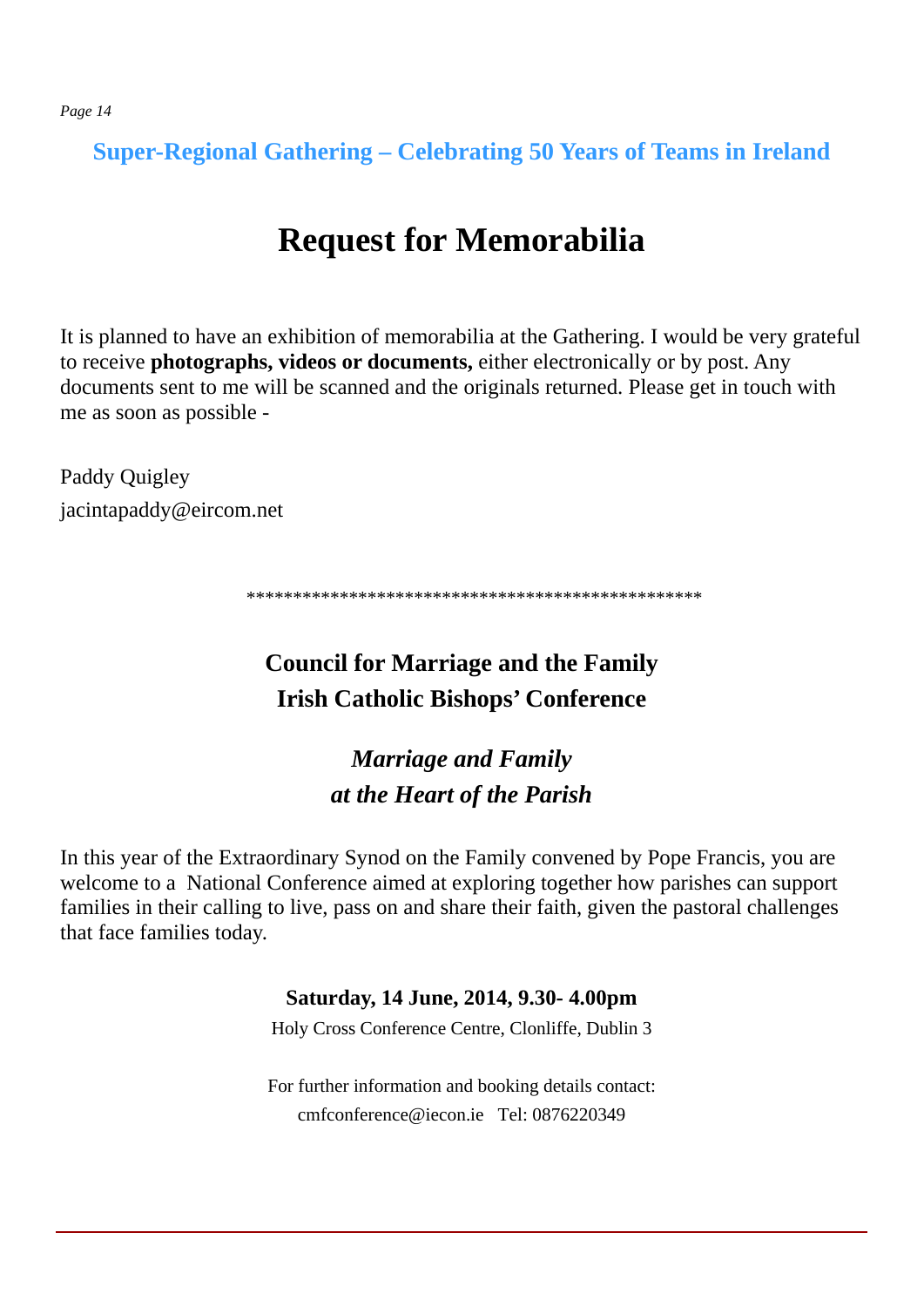**Super-Regional Gathering – Celebrating 50 Years of Teams in Ireland** 

# **Request for Memorabilia**

It is planned to have an exhibition of memorabilia at the Gathering. I would be very grateful to receive **photographs, videos or documents,** either electronically or by post. Any documents sent to me will be scanned and the originals returned. Please get in touch with me as soon as possible -

Paddy Quigley jacintapaddy@eircom.net

\*\*\*\*\*\*\*\*\*\*\*\*\*\*\*\*\*\*\*\*\*\*\*\*\*\*\*\*\*\*\*\*\*\*\*\*\*\*\*\*\*\*\*\*\*\*\*\*\*

# **Council for Marriage and the Family Irish Catholic Bishops' Conference**

# *Marriage and Family at the Heart of the Parish*

In this year of the Extraordinary Synod on the Family convened by Pope Francis, you are welcome to a National Conference aimed at exploring together how parishes can support families in their calling to live, pass on and share their faith, given the pastoral challenges that face families today.

#### **Saturday, 14 June, 2014, 9.30- 4.00pm**

Holy Cross Conference Centre, Clonliffe, Dublin 3

For further information and booking details contact: cmfconference@iecon.ie Tel: 0876220349